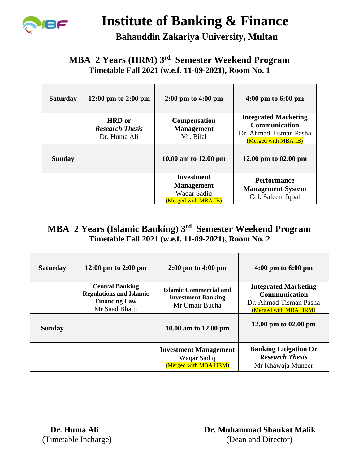

# **Institute of Banking & Finance**

 **Bahauddin Zakariya University, Multan**

### **MBA 2 Years (HRM) 3 rd Semester Weekend Program Timetable Fall 2021 (w.e.f. 11-09-2021), Room No. 1**

| <b>Saturday</b> | 12:00 pm to 2:00 pm                                     | $2:00 \text{ pm}$ to $4:00 \text{ pm}$                                 | $4:00 \text{ pm}$ to 6:00 pm                                                                          |
|-----------------|---------------------------------------------------------|------------------------------------------------------------------------|-------------------------------------------------------------------------------------------------------|
|                 | <b>HRD</b> or<br><b>Research Thesis</b><br>Dr. Huma Ali | <b>Compensation</b><br><b>Management</b><br>Mr. Bilal                  | <b>Integrated Marketing</b><br><b>Communication</b><br>Dr. Ahmad Tisman Pasha<br>(Merged with MBA IB) |
| <b>Sunday</b>   |                                                         | 10.00 am to 12.00 pm                                                   | 12.00 pm to $02.00$ pm                                                                                |
|                 |                                                         | Investment<br><b>Management</b><br>Waqar Sadiq<br>(Merged with MBA IB) | <b>Performance</b><br><b>Management System</b><br>Col. Saleem Iqbal                                   |

## **MBA 2 Years (Islamic Banking) 3rd Semester Weekend Program Timetable Fall 2021 (w.e.f. 11-09-2021), Room No. 2**

| <b>Saturday</b> | 12:00 pm to 2:00 pm                                                                                | $2:00 \text{ pm}$ to $4:00 \text{ pm}$                                       | $4:00 \text{ pm}$ to $6:00 \text{ pm}$                                                                 |
|-----------------|----------------------------------------------------------------------------------------------------|------------------------------------------------------------------------------|--------------------------------------------------------------------------------------------------------|
|                 | <b>Central Banking</b><br><b>Regulations and Islamic</b><br><b>Financing Law</b><br>Mr Saad Bhatti | <b>Islamic Commercial and</b><br><b>Investment Banking</b><br>Mr Omair Bucha | <b>Integrated Marketing</b><br><b>Communication</b><br>Dr. Ahmad Tisman Pasha<br>(Merged with MBA HRM) |
| <b>Sunday</b>   |                                                                                                    | 10.00 am to 12.00 pm                                                         | 12.00 pm to 02.00 pm                                                                                   |
|                 |                                                                                                    | <b>Investment Management</b><br>Waqar Sadiq<br>(Merged with MBA HRM)         | <b>Banking Litigation Or</b><br><b>Research Thesis</b><br>Mr Khawaja Muneer                            |

 **Dr. Huma Ali Dr. Muhammad Shaukat Malik** (Timetable Incharge) (Dean and Director)